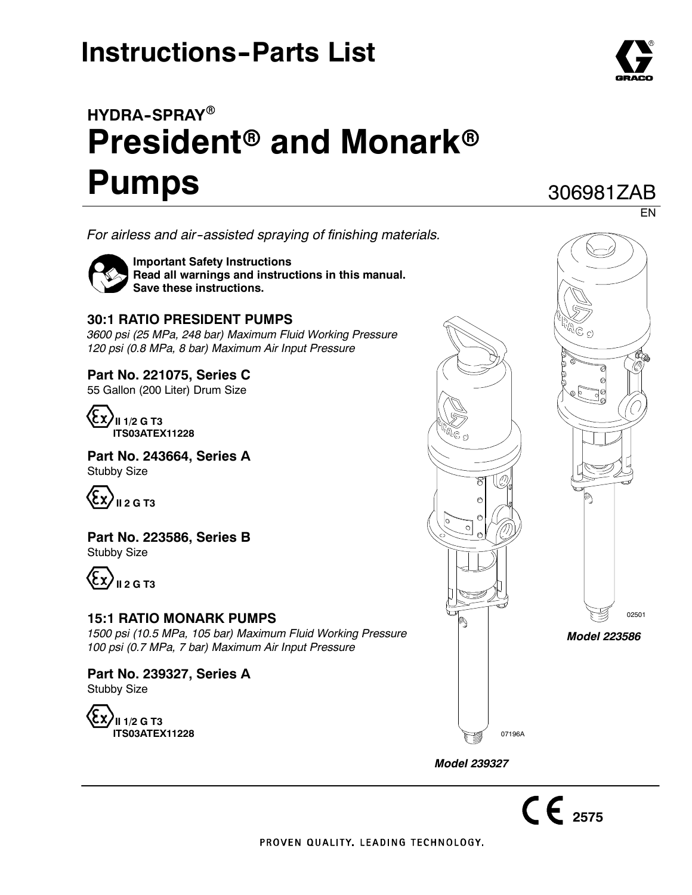# **Instructions-Parts List**

# **HYDRA--SPRAY**<sup>R</sup> **President<sup>®</sup> and Monark<sup>®</sup> Pumps**

*For airless and air--assisted spraying of finishing materials.*



**Important Safety Instructions Read all warnings and instructions in this manual. Save these instructions.**

### **30:1 RATIO PRESIDENT PUMPS**

*3600 psi (25 MPa, 248 bar) Maximum Fluid Working Pressure 120 psi (0.8 MPa, 8 bar) Maximum Air Input Pressure*

## **Part No. 221075, Series C**

55 Gallon (200 Liter) Drum Size



**Part No. 243664, Series A** Stubby Size



**Part No. 223586, Series B** Stubby Size



#### **15:1 RATIO MONARK PUMPS**

*1500 psi (10.5 MPa, 105 bar) Maximum Fluid Working Pressure 100 psi (0.7 MPa, 7 bar) Maximum Air Input Pressure*

**Part No. 239327, Series A** Stubby Size





*Model 239327*



306981ZAB

 $C \n\epsilon_{2575}$ 

PROVEN QUALITY, LEADING TECHNOLOGY.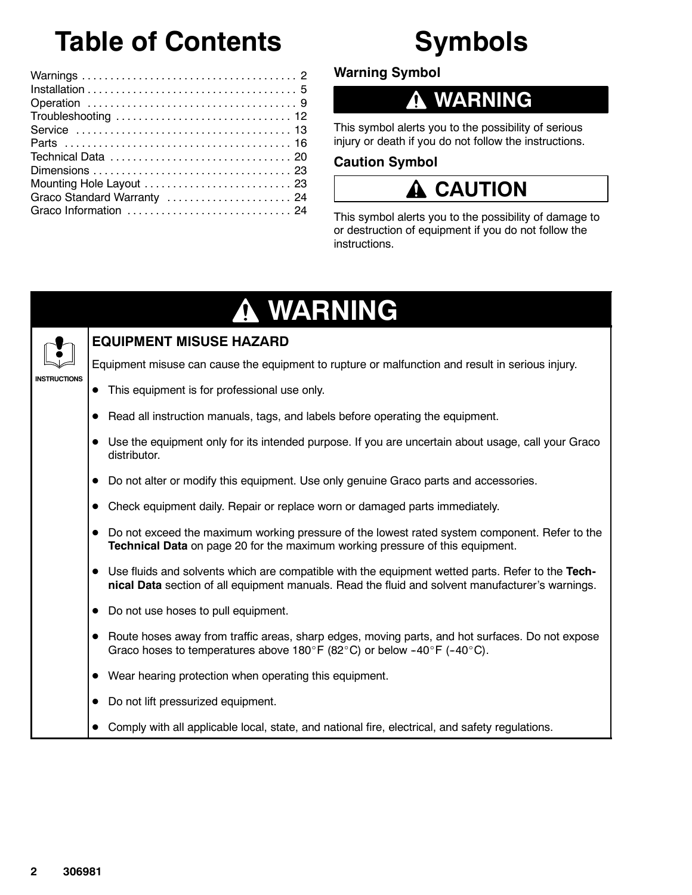# **Table of Contents**

#### Warnings ...................................... 2 Installation ..................................... 5 Operation ..................................... 9 Troubleshooting ............................... 12 Service ...................................... 13 Parts ........................................ 16 Technical Data ................................ 20 Dimensions ................................... 23 Mounting Hole Layout ................................. 23 Graco Standard Warranty ......................... 24 Graco Information ............................. 24

**Warning Symbol**

# **WARNING**

**Symbols**

This symbol alerts you to the possibility of serious injury or death if you do not follow the instructions.

## **Caution Symbol**

# **A** CAUTION

This symbol alerts you to the possibility of damage to or destruction of equipment if you do not follow the instructions.

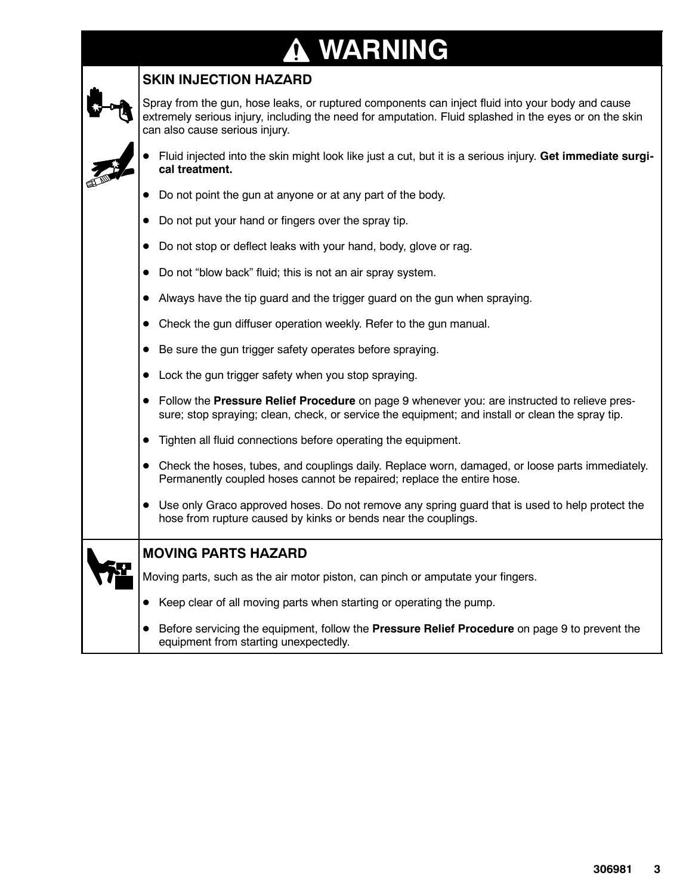### **WARNING**  $\bf \Phi$

## **SKIN INJECTION HAZARD**

Spray from the gun, hose leaks, or ruptured components can inject fluid into your body and cause extremely serious injury, including the need for amputation. Fluid splashed in the eyes or on the skin can also cause serious injury.

- Fluid injected into the skin might look like just a cut, but it is a serious injury. Get immediate surgi**cal treatment.**
- Do not point the gun at anyone or at any part of the body.
- Do not put your hand or fingers over the spray tip.
- Do not stop or deflect leaks with your hand, body, glove or rag.
- Do not "blow back" fluid; this is not an air spray system.
- Always have the tip guard and the trigger guard on the gun when spraying.
- $\bullet$  Check the gun diffuser operation weekly. Refer to the gun manual.
- Be sure the gun trigger safety operates before spraying.
- $\bullet$  Lock the gun trigger safety when you stop spraying.
- **•** Follow the **Pressure Relief Procedure** on page 9 whenever you: are instructed to relieve pressure; stop spraying; clean, check, or service the equipment; and install or clean the spray tip.
- Tighten all fluid connections before operating the equipment.
- Check the hoses, tubes, and couplings daily. Replace worn, damaged, or loose parts immediately. Permanently coupled hoses cannot be repaired; replace the entire hose.
- Use only Graco approved hoses. Do not remove any spring guard that is used to help protect the hose from rupture caused by kinks or bends near the couplings.

Moving parts, such as the air motor piston, can pinch or amputate your fingers.

- Keep clear of all moving parts when starting or operating the pump.
- **•** Before servicing the equipment, follow the **Pressure Relief Procedure** on page 9 to prevent the equipment from starting unexpectedly.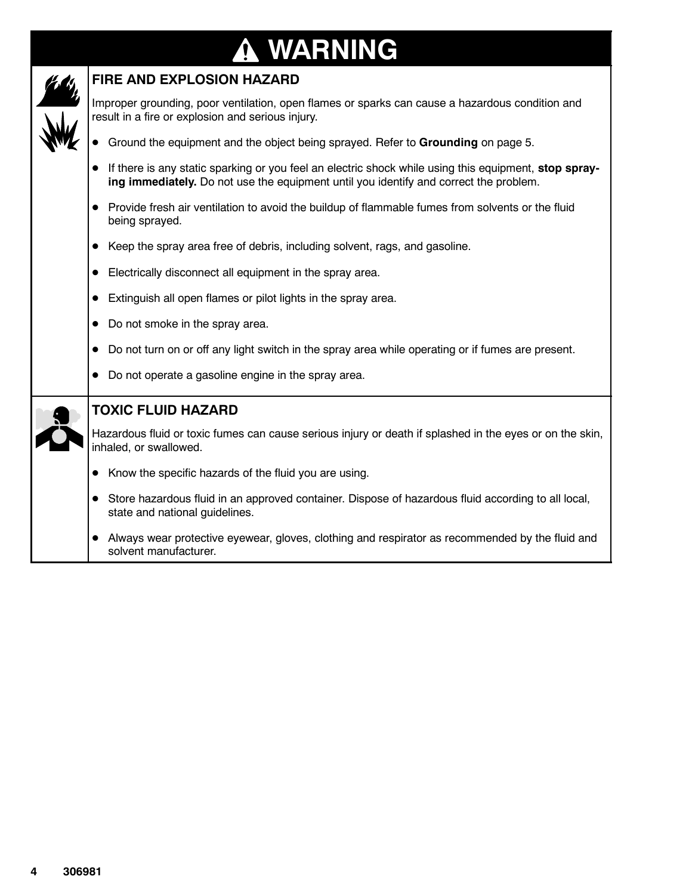## **WARNING**  $\bf \Phi$



### **FIRE AND EXPLOSION HAZARD**

Improper grounding, poor ventilation, open flames or sparks can cause a hazardous condition and result in a fire or explosion and serious injury.

- **•** Ground the equipment and the object being sprayed. Refer to Grounding on page 5.
- If there is any static sparking or you feel an electric shock while using this equipment, stop spray**ing immediately.** Do not use the equipment until you identify and correct the problem.
- Provide fresh air ventilation to avoid the buildup of flammable fumes from solvents or the fluid being sprayed.
- Keep the spray area free of debris, including solvent, rags, and gasoline.
- Electrically disconnect all equipment in the spray area.
- Extinguish all open flames or pilot lights in the spray area.
- $\bullet$  Do not smoke in the spray area.
- $\bullet$  Do not turn on or off any light switch in the spray area while operating or if fumes are present.
- 

|  |  | Do not operate a gasoline engine in the spray area.                                                                                  |
|--|--|--------------------------------------------------------------------------------------------------------------------------------------|
|  |  | <b>TOXIC FLUID HAZARD</b>                                                                                                            |
|  |  | Hazardous fluid or toxic fumes can cause serious injury or death if splashed in the eyes or on the skin,<br>inhaled, or swallowed.   |
|  |  | Know the specific hazards of the fluid you are using.                                                                                |
|  |  | Store hazardous fluid in an approved container. Dispose of hazardous fluid according to all local,<br>state and national guidelines. |
|  |  | Always wear protective eyewear, gloves, clothing and respirator as recommended by the fluid and<br>solvent manufacturer.             |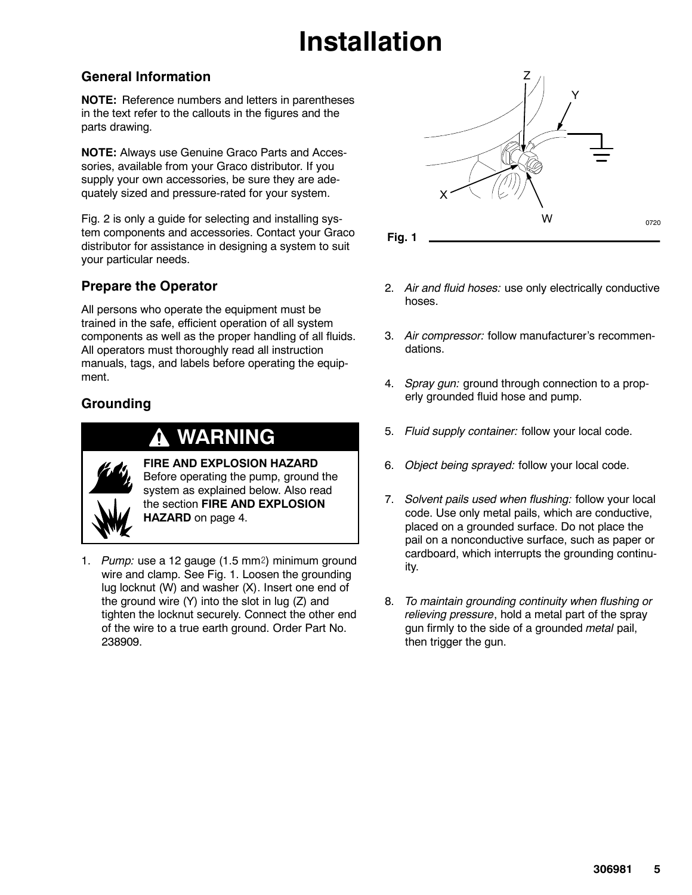# **Installation**

## **General Information**

**NOTE:** Reference numbers and letters in parentheses in the text refer to the callouts in the figures and the parts drawing.

**NOTE:** Always use Genuine Graco Parts and Accessories, available from your Graco distributor. If you supply your own accessories, be sure they are adequately sized and pressure-rated for your system.

Fig. 2 is only a guide for selecting and installing system components and accessories. Contact your Graco distributor for assistance in designing a system to suit your particular needs.

## **Prepare the Operator**

All persons who operate the equipment must be trained in the safe, efficient operation of all system components as well as the proper handling of all fluids. All operators must thoroughly read all instruction manuals, tags, and labels before operating the equipment.

## **Grounding**

## **WARNING**



**FIRE AND EXPLOSION HAZARD** Before operating the pump, ground the system as explained below. Also read the section **FIRE AND EXPLOSION HAZARD** on page 4.

1. *Pump:* use a 12 gauge (1.5 mm<sup>2</sup>) minimum ground wire and clamp. See Fig. 1. Loosen the grounding lug locknut (W) and washer (X). Insert one end of the ground wire (Y) into the slot in lug (Z) and tighten the locknut securely. Connect the other end of the wire to a true earth ground. Order Part No. 238909.



- 2. *Air and fluid hoses:* use only electrically conductive hoses.
- 3. *Air compressor:* follow manufacturer's recommendations.
- 4. *Spray gun:* ground through connection to a properly grounded fluid hose and pump.
- 5. *Fluid supply container:* follow your local code.
- 6. *Object being sprayed:* follow your local code.
- 7. *Solvent pails used when flushing:* follow your local code. Use only metal pails, which are conductive, placed on a grounded surface. Do not place the pail on a nonconductive surface, such as paper or cardboard, which interrupts the grounding continuity.
- 8. *To maintain grounding continuity when flushing or relieving pressure*, hold a metal part of the spray gun firmly to the side of a grounded *metal* pail, then trigger the gun.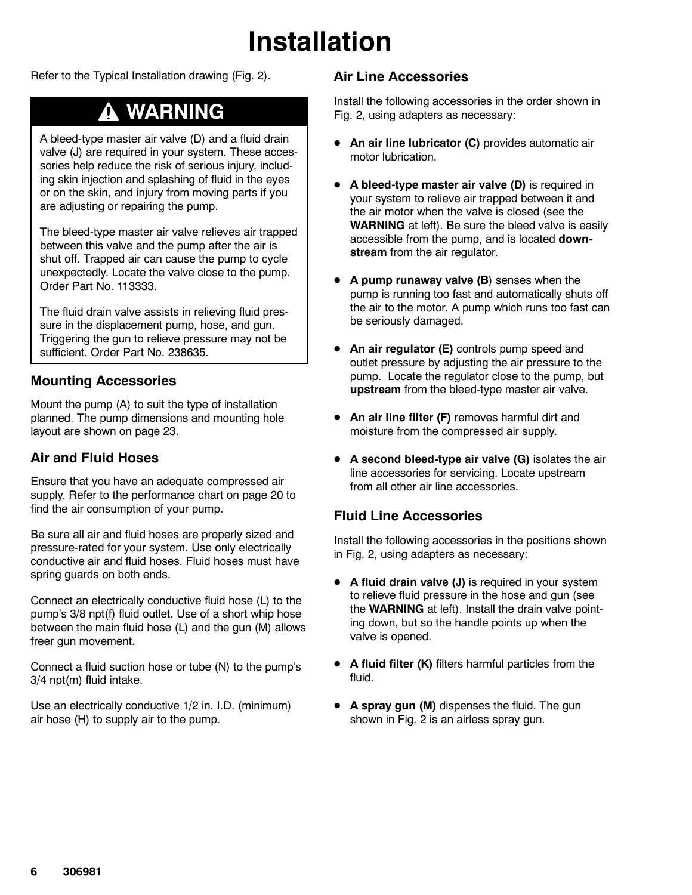# **Installation**

Refer to the Typical Installation drawing (Fig. 2).

# **WARNING**

A bleed-type master air valve (D) and a fluid drain valve (J) are required in your system. These accessories help reduce the risk of serious injury, including skin injection and splashing of fluid in the eyes or on the skin, and injury from moving parts if you are adjusting or repairing the pump.

The bleed-type master air valve relieves air trapped between this valve and the pump after the air is shut off. Trapped air can cause the pump to cycle unexpectedly. Locate the valve close to the pump. Order Part No. 113333.

The fluid drain valve assists in relieving fluid pressure in the displacement pump, hose, and gun. Triggering the gun to relieve pressure may not be sufficient. Order Part No. 238635.

### **Mounting Accessories**

Mount the pump (A) to suit the type of installation planned. The pump dimensions and mounting hole layout are shown on page 23.

### **Air and Fluid Hoses**

Ensure that you have an adequate compressed air supply. Refer to the performance chart on page 20 to find the air consumption of your pump.

Be sure all air and fluid hoses are properly sized and pressure-rated for your system. Use only electrically conductive air and fluid hoses. Fluid hoses must have spring guards on both ends.

Connect an electrically conductive fluid hose (L) to the pump's 3/8 npt(f) fluid outlet. Use of a short whip hose between the main fluid hose (L) and the gun (M) allows freer gun movement.

Connect a fluid suction hose or tube (N) to the pump's 3/4 npt(m) fluid intake.

Use an electrically conductive 1/2 in. I.D. (minimum) air hose (H) to supply air to the pump.

## **Air Line Accessories**

Install the following accessories in the order shown in Fig. 2, using adapters as necessary:

- **An air line lubricator (C)** provides automatic air motor lubrication.
- **•** A bleed-type master air valve (D) is required in your system to relieve air trapped between it and the air motor when the valve is closed (see the **WARNING** at left). Be sure the bleed valve is easily accessible from the pump, and is located **downstream** from the air regulator.
- **A pump runaway valve (B)** senses when the pump is running too fast and automatically shuts off the air to the motor. A pump which runs too fast can be seriously damaged.
- An air regulator (E) controls pump speed and outlet pressure by adjusting the air pressure to the pump. Locate the regulator close to the pump, but **upstream** from the bleed-type master air valve.
- **An air line filter (F)** removes harmful dirt and moisture from the compressed air supply.
- **•** A second bleed-type air valve (G) isolates the air line accessories for servicing. Locate upstream from all other air line accessories.

## **Fluid Line Accessories**

Install the following accessories in the positions shown in Fig. 2, using adapters as necessary:

- **A fluid drain valve (J)** is required in your system to relieve fluid pressure in the hose and gun (see the **WARNING** at left). Install the drain valve pointing down, but so the handle points up when the valve is opened.
- **A fluid filter (K)** filters harmful particles from the fluid.
- **A spray gun (M)** dispenses the fluid. The gun shown in Fig. 2 is an airless spray gun.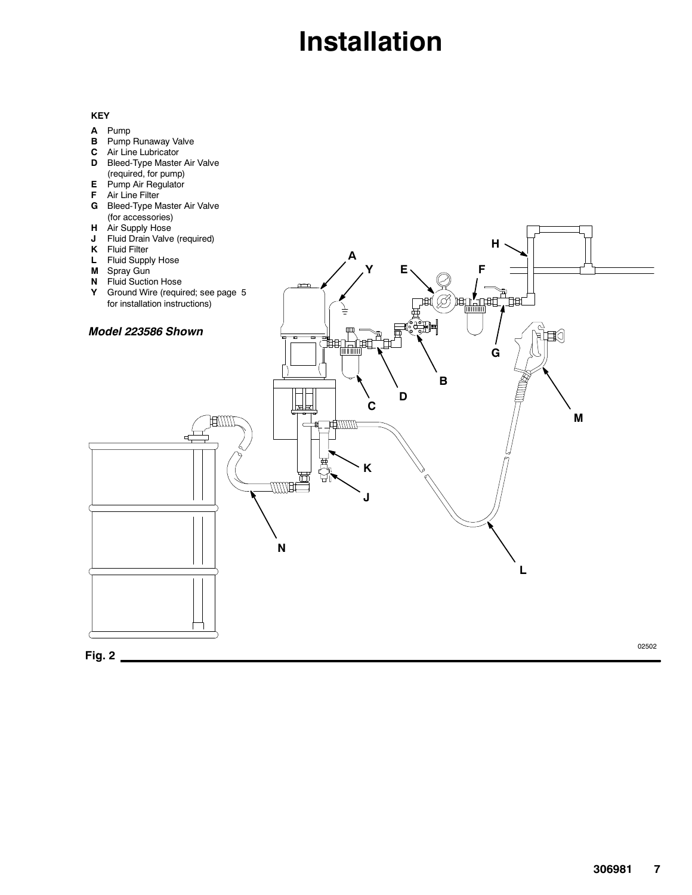# **Installation**

#### **KEY**

- **A** Pump
- **B** Pump Runaway Valve
- **C** Air Line Lubricator
- **D** Bleed-Type Master Air Valve (required, for pump)
- **E** Pump Air Regulator
- **F** Air Line Filter
- **G** Bleed-Type Master Air Valve (for accessories)
- **H** Air Supply Hose
- **J** Fluid Drain Valve (required)
- 
- **K** Fluid Filter **L** Fluid Supply Hose



**A**

**H**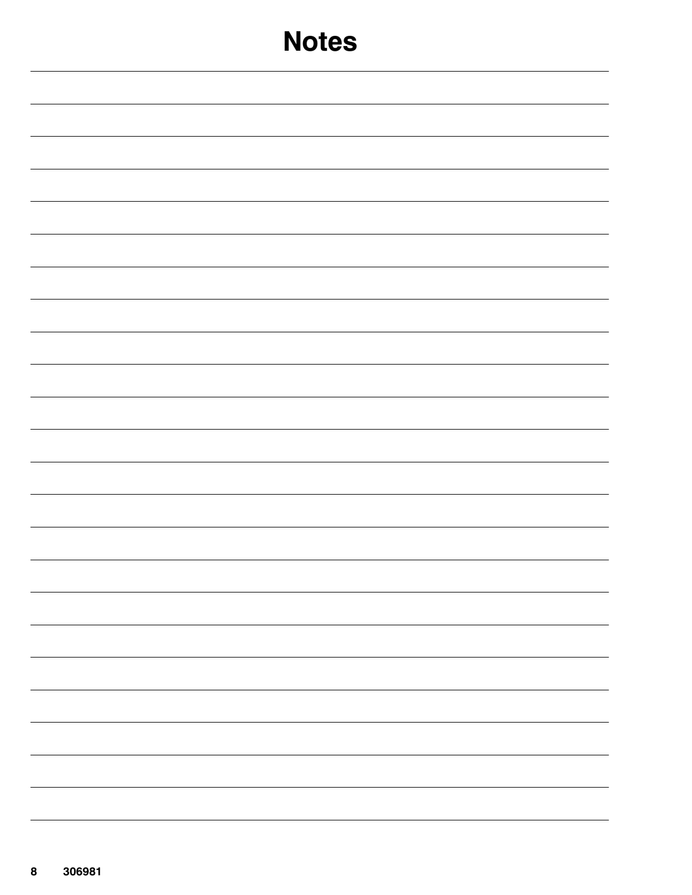| <b>Notes</b>             |
|--------------------------|
|                          |
|                          |
|                          |
|                          |
|                          |
|                          |
|                          |
|                          |
|                          |
|                          |
|                          |
|                          |
| -                        |
| $\overline{\phantom{0}}$ |
|                          |
|                          |
| $\overline{\phantom{0}}$ |
|                          |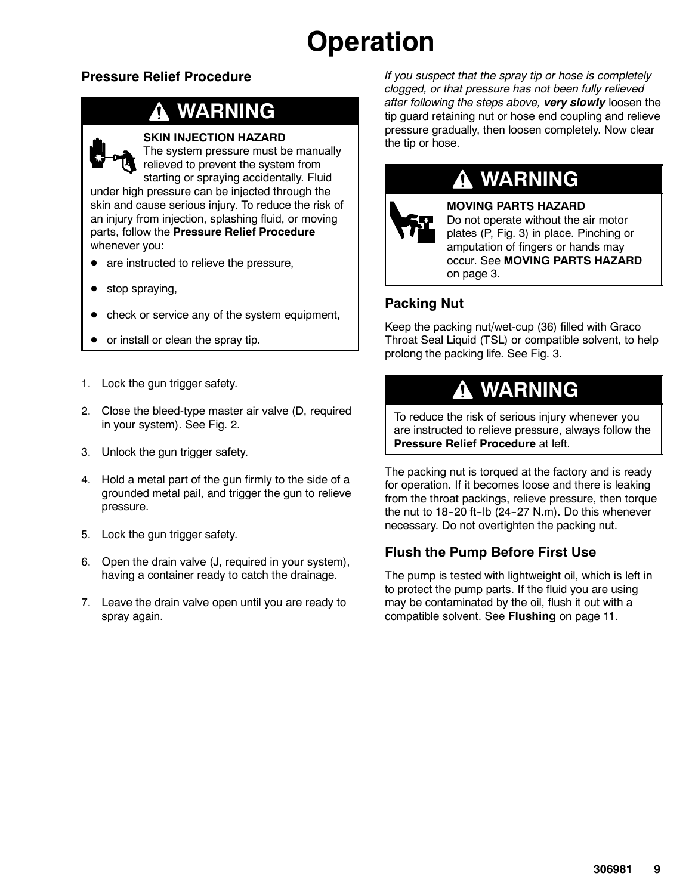# **Operation**

## **Pressure Relief Procedure**

# **WARNING**



#### **SKIN INJECTION HAZARD**

The system pressure must be manually relieved to prevent the system from

starting or spraying accidentally. Fluid under high pressure can be injected through the skin and cause serious injury. To reduce the risk of an injury from injection, splashing fluid, or moving parts, follow the **Pressure Relief Procedure** whenever you:

- are instructed to relieve the pressure,
- stop spraying,
- check or service any of the system equipment,
- or install or clean the spray tip.
- 1. Lock the gun trigger safety.
- 2. Close the bleed-type master air valve (D, required in your system). See Fig. 2.
- 3. Unlock the gun trigger safety.
- 4. Hold a metal part of the gun firmly to the side of a grounded metal pail, and trigger the gun to relieve pressure.
- 5. Lock the gun trigger safety.
- 6. Open the drain valve (J, required in your system), having a container ready to catch the drainage.
- 7. Leave the drain valve open until you are ready to spray again.

*If you suspect that the spray tip or hose is completely clogged, or that pressure has not been fully relieved after following the steps above, very slowly* loosen the tip guard retaining nut or hose end coupling and relieve pressure gradually, then loosen completely. Now clear the tip or hose.



# **WARNING**

**MOVING PARTS HAZARD**

Do not operate without the air motor plates (P, Fig. 3) in place. Pinching or amputation of fingers or hands may occur. See **MOVING PARTS HAZARD** on page 3.

### **Packing Nut**

Keep the packing nut/wet-cup (36) filled with Graco Throat Seal Liquid (TSL) or compatible solvent, to help prolong the packing life. See Fig. 3.

# **WARNING**

To reduce the risk of serious injury whenever you are instructed to relieve pressure, always follow the **Pressure Relief Procedure** at left.

The packing nut is torqued at the factory and is ready for operation. If it becomes loose and there is leaking from the throat packings, relieve pressure, then torque the nut to  $18-20$  ft-lb  $(24-27 \text{ N.m})$ . Do this whenever necessary. Do not overtighten the packing nut.

## **Flush the Pump Before First Use**

The pump is tested with lightweight oil, which is left in to protect the pump parts. If the fluid you are using may be contaminated by the oil, flush it out with a compatible solvent. See **Flushing** on page 11.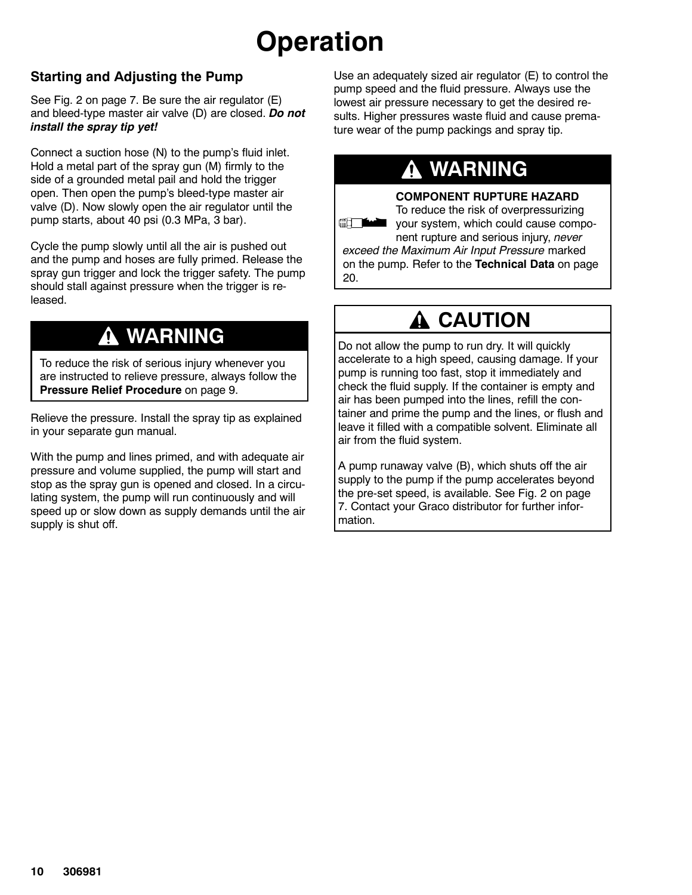# **Operation**

## **Starting and Adjusting the Pump**

See Fig. 2 on page 7. Be sure the air regulator (E) and bleed-type master air valve (D) are closed. *Do not install the spray tip yet!*

Connect a suction hose (N) to the pump's fluid inlet. Hold a metal part of the spray gun (M) firmly to the side of a grounded metal pail and hold the trigger open. Then open the pump's bleed-type master air valve (D). Now slowly open the air regulator until the pump starts, about 40 psi (0.3 MPa, 3 bar).

Cycle the pump slowly until all the air is pushed out and the pump and hoses are fully primed. Release the spray gun trigger and lock the trigger safety. The pump should stall against pressure when the trigger is released.

## **WARNING**

To reduce the risk of serious injury whenever you are instructed to relieve pressure, always follow the **Pressure Relief Procedure** on page 9.

Relieve the pressure. Install the spray tip as explained in your separate gun manual.

With the pump and lines primed, and with adequate air pressure and volume supplied, the pump will start and stop as the spray gun is opened and closed. In a circulating system, the pump will run continuously and will speed up or slow down as supply demands until the air supply is shut off.

Use an adequately sized air regulator (E) to control the pump speed and the fluid pressure. Always use the lowest air pressure necessary to get the desired results. Higher pressures waste fluid and cause premature wear of the pump packings and spray tip.

# **WARNING**

#### **COMPONENT RUPTURE HAZARD**

To reduce the risk of overpressurizing **GRET DEALER** your system, which could cause component rupture and serious injury, *never*

*exceed the Maximum Air Input Pressure* marked on the pump. Refer to the **Technical Data** on page 20.

# **A CAUTION**

Do not allow the pump to run dry. It will quickly accelerate to a high speed, causing damage. If your pump is running too fast, stop it immediately and check the fluid supply. If the container is empty and air has been pumped into the lines, refill the container and prime the pump and the lines, or flush and leave it filled with a compatible solvent. Eliminate all air from the fluid system.

A pump runaway valve (B), which shuts off the air supply to the pump if the pump accelerates beyond the pre-set speed, is available. See Fig. 2 on page 7. Contact your Graco distributor for further information.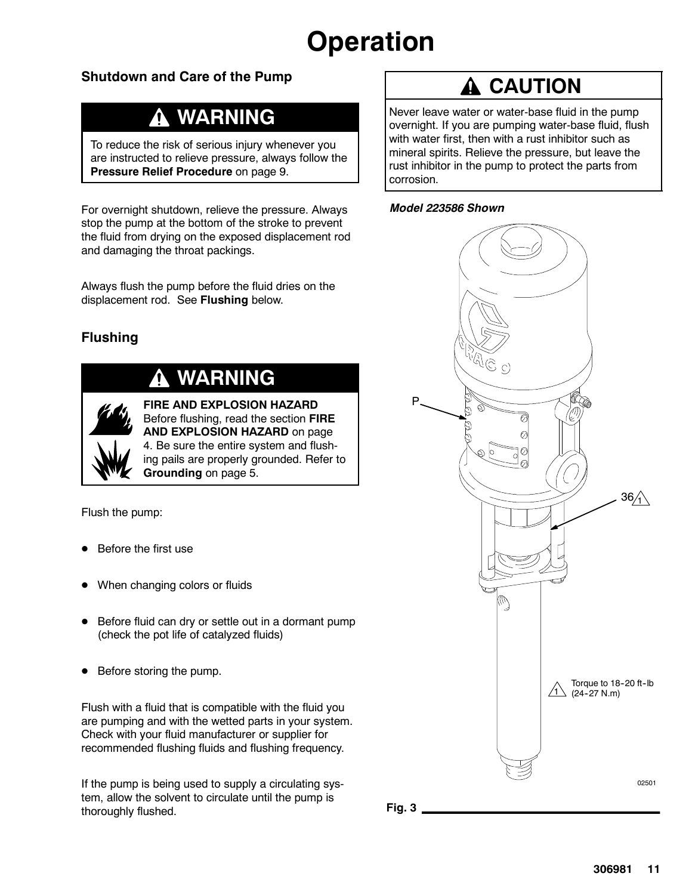# **Operation**

## **Shutdown and Care of the Pump**

# **WARNING**

To reduce the risk of serious injury whenever you are instructed to relieve pressure, always follow the **Pressure Relief Procedure** on page 9.

For overnight shutdown, relieve the pressure. Always stop the pump at the bottom of the stroke to prevent the fluid from drying on the exposed displacement rod and damaging the throat packings.

Always flush the pump before the fluid dries on the displacement rod. See **Flushing** below.

## **Flushing**

# **WARNING**



**FIRE AND EXPLOSION HAZARD** Before flushing, read the section **FIRE AND EXPLOSION HAZARD** on page 4. Be sure the entire system and flushing pails are properly grounded. Refer to **Grounding** on page 5.

Flush the pump:

- Before the first use
- When changing colors or fluids
- Before fluid can dry or settle out in a dormant pump (check the pot life of catalyzed fluids)
- Before storing the pump.

Flush with a fluid that is compatible with the fluid you are pumping and with the wetted parts in your system. Check with your fluid manufacturer or supplier for recommended flushing fluids and flushing frequency.

If the pump is being used to supply a circulating system, allow the solvent to circulate until the pump is thoroughly flushed.

# **A** CAUTION

Never leave water or water-base fluid in the pump overnight. If you are pumping water-base fluid, flush with water first, then with a rust inhibitor such as mineral spirits. Relieve the pressure, but leave the rust inhibitor in the pump to protect the parts from corrosion.





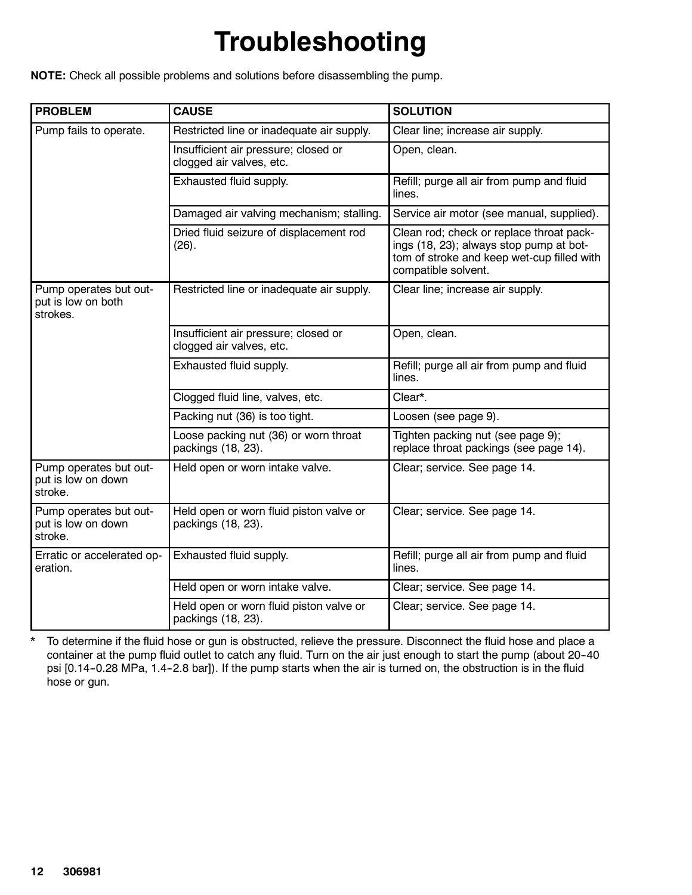# **Troubleshooting**

**NOTE:** Check all possible problems and solutions before disassembling the pump.

| <b>PROBLEM</b>                                                    | <b>CAUSE</b>                                                     | <b>SOLUTION</b>                                                                                                                                          |
|-------------------------------------------------------------------|------------------------------------------------------------------|----------------------------------------------------------------------------------------------------------------------------------------------------------|
| Pump fails to operate.                                            | Restricted line or inadequate air supply.                        | Clear line; increase air supply.                                                                                                                         |
|                                                                   | Insufficient air pressure; closed or<br>clogged air valves, etc. | Open, clean.                                                                                                                                             |
|                                                                   | Exhausted fluid supply.                                          | Refill; purge all air from pump and fluid<br>lines.                                                                                                      |
|                                                                   | Damaged air valving mechanism; stalling.                         | Service air motor (see manual, supplied).                                                                                                                |
|                                                                   | Dried fluid seizure of displacement rod<br>(26).                 | Clean rod; check or replace throat pack-<br>ings (18, 23); always stop pump at bot-<br>tom of stroke and keep wet-cup filled with<br>compatible solvent. |
| Pump operates but out-<br>put is low on both<br>strokes.          | Restricted line or inadequate air supply.                        | Clear line; increase air supply.                                                                                                                         |
|                                                                   | Insufficient air pressure; closed or<br>clogged air valves, etc. | Open, clean.                                                                                                                                             |
|                                                                   | Exhausted fluid supply.                                          | Refill; purge all air from pump and fluid<br>lines.                                                                                                      |
|                                                                   | Clogged fluid line, valves, etc.                                 | Clear*.                                                                                                                                                  |
|                                                                   | Packing nut (36) is too tight.                                   | Loosen (see page 9).                                                                                                                                     |
|                                                                   | Loose packing nut (36) or worn throat<br>packings (18, 23).      | Tighten packing nut (see page 9);<br>replace throat packings (see page 14).                                                                              |
| Pump operates but out-<br>put is low on down<br>stroke.           | Held open or worn intake valve.                                  | Clear; service. See page 14.                                                                                                                             |
| Pump operates but out-<br>put is low on down<br>stroke.           | Held open or worn fluid piston valve or<br>packings (18, 23).    | Clear; service. See page 14.                                                                                                                             |
| Erratic or accelerated op-<br>Exhausted fluid supply.<br>eration. |                                                                  | Refill; purge all air from pump and fluid<br>lines.                                                                                                      |
|                                                                   | Held open or worn intake valve.                                  | Clear; service. See page 14.                                                                                                                             |
|                                                                   | Held open or worn fluid piston valve or<br>packings (18, 23).    | Clear; service. See page 14.                                                                                                                             |

\* To determine if the fluid hose or gun is obstructed, relieve the pressure. Disconnect the fluid hose and place a container at the pump fluid outlet to catch any fluid. Turn on the air just enough to start the pump (about 20-40 psi [0.14-0.28 MPa, 1.4-2.8 bar]). If the pump starts when the air is turned on, the obstruction is in the fluid hose or gun.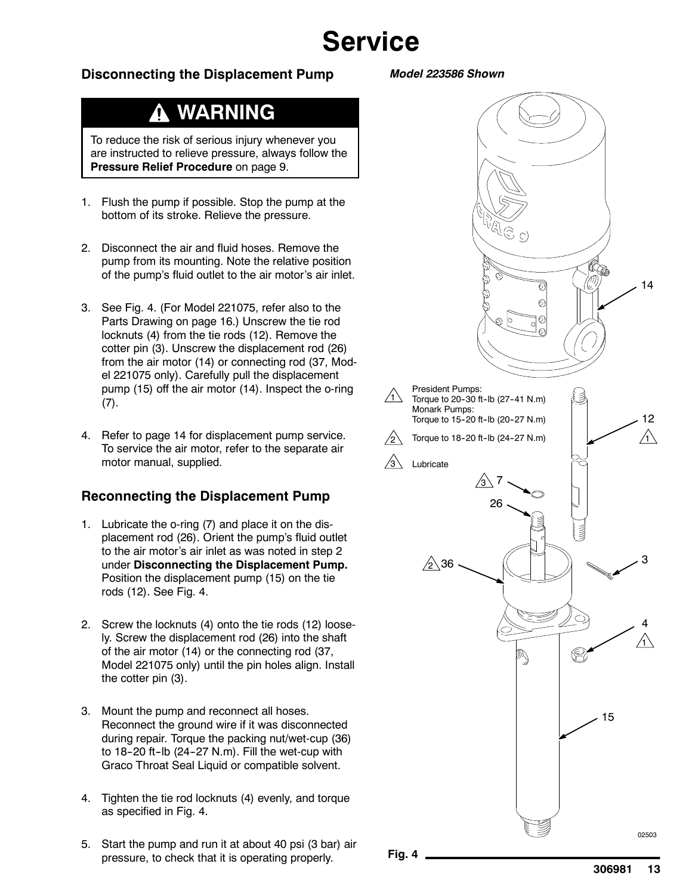# **Service**

#### **Disconnecting the Displacement Pump**

#### *Model 223586 Shown*

## **WARNING**

To reduce the risk of serious injury whenever you are instructed to relieve pressure, always follow the **Pressure Relief Procedure** on page 9.

- 1. Flush the pump if possible. Stop the pump at the bottom of its stroke. Relieve the pressure.
- 2. Disconnect the air and fluid hoses. Remove the pump from its mounting. Note the relative position of the pump's fluid outlet to the air motor's air inlet.
- 3. See Fig. 4. (For Model 221075, refer also to the Parts Drawing on page 16.) Unscrew the tie rod locknuts (4) from the tie rods (12). Remove the cotter pin (3). Unscrew the displacement rod (26) from the air motor (14) or connecting rod (37, Model 221075 only). Carefully pull the displacement pump (15) off the air motor (14). Inspect the o-ring (7).
- 4. Refer to page 14 for displacement pump service. To service the air motor, refer to the separate air motor manual, supplied.

#### **Reconnecting the Displacement Pump**

- 1. Lubricate the o-ring (7) and place it on the displacement rod (26). Orient the pump's fluid outlet to the air motor's air inlet as was noted in step 2 under **Disconnecting the Displacement Pump.** Position the displacement pump (15) on the tie rods (12). See Fig. 4.
- 2. Screw the locknuts (4) onto the tie rods (12) loosely. Screw the displacement rod (26) into the shaft of the air motor (14) or the connecting rod (37, Model 221075 only) until the pin holes align. Install the cotter pin (3).
- 3. Mount the pump and reconnect all hoses. Reconnect the ground wire if it was disconnected during repair. Torque the packing nut/wet-cup (36) to  $18-20$  ft-lb (24-27 N.m). Fill the wet-cup with Graco Throat Seal Liquid or compatible solvent.
- 4. Tighten the tie rod locknuts (4) evenly, and torque as specified in Fig. 4.
- 5. Start the pump and run it at about 40 psi (3 bar) air pressure, to check that it is operating properly.

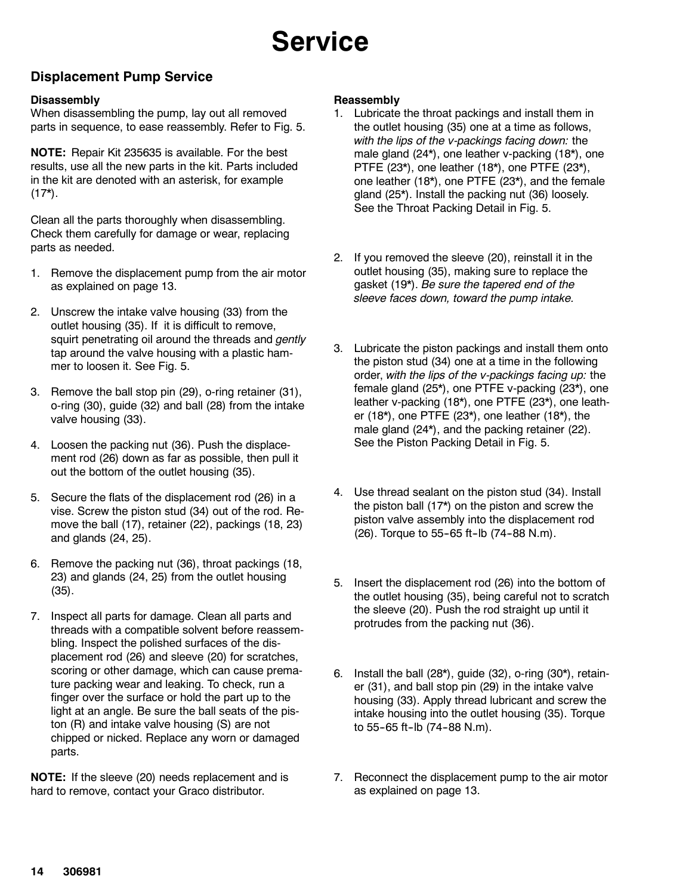# **Service**

### **Displacement Pump Service**

#### **Disassembly**

When disassembling the pump, lay out all removed parts in sequence, to ease reassembly. Refer to Fig. 5.

**NOTE:** Repair Kit 235635 is available. For the best results, use all the new parts in the kit. Parts included in the kit are denoted with an asterisk, for example  $(17^*)$ .

Clean all the parts thoroughly when disassembling. Check them carefully for damage or wear, replacing parts as needed.

- 1. Remove the displacement pump from the air motor as explained on page 13.
- 2. Unscrew the intake valve housing (33) from the outlet housing (35). If it is difficult to remove, squirt penetrating oil around the threads and *gently* tap around the valve housing with a plastic hammer to loosen it. See Fig. 5.
- 3. Remove the ball stop pin (29), o-ring retainer (31), o-ring (30), guide (32) and ball (28) from the intake valve housing (33).
- 4. Loosen the packing nut (36). Push the displacement rod (26) down as far as possible, then pull it out the bottom of the outlet housing (35).
- 5. Secure the flats of the displacement rod (26) in a vise. Screw the piston stud (34) out of the rod. Remove the ball (17), retainer (22), packings (18, 23) and glands (24, 25).
- 6. Remove the packing nut (36), throat packings (18, 23) and glands (24, 25) from the outlet housing (35).
- 7. Inspect all parts for damage. Clean all parts and threads with a compatible solvent before reassembling. Inspect the polished surfaces of the displacement rod (26) and sleeve (20) for scratches, scoring or other damage, which can cause premature packing wear and leaking. To check, run a finger over the surface or hold the part up to the light at an angle. Be sure the ball seats of the piston (R) and intake valve housing (S) are not chipped or nicked. Replace any worn or damaged parts.

**NOTE:** If the sleeve (20) needs replacement and is hard to remove, contact your Graco distributor.

#### **Reassembly**

- 1. Lubricate the throat packings and install them in the outlet housing (35) one at a time as follows, *with the lips of the v-packings facing down:* the male gland (24\*), one leather v-packing (18\*), one PTFE (23\*), one leather (18\*), one PTFE (23\*), one leather (18\*), one PTFE (23\*), and the female gland (25\*). Install the packing nut (36) loosely. See the Throat Packing Detail in Fig. 5.
- 2. If you removed the sleeve (20), reinstall it in the outlet housing (35), making sure to replace the gasket (19\*). *Be sure the tapered end of the sleeve faces down, toward the pump intake.*
- 3. Lubricate the piston packings and install them onto the piston stud (34) one at a time in the following order, *with the lips of the v-packings facing up:* the female gland (25\*), one PTFE v-packing (23\*), one leather v-packing (18\*), one PTFE (23\*), one leather (18\*), one PTFE (23\*), one leather (18\*), the male gland (24\*), and the packing retainer (22). See the Piston Packing Detail in Fig. 5.
- 4. Use thread sealant on the piston stud (34). Install the piston ball (17\*) on the piston and screw the piston valve assembly into the displacement rod (26). Torque to 55-65 ft-lb (74-88 N.m).
- 5. Insert the displacement rod (26) into the bottom of the outlet housing (35), being careful not to scratch the sleeve (20). Push the rod straight up until it protrudes from the packing nut (36).
- 6. Install the ball  $(28<sup>*</sup>)$ , guide  $(32)$ , o-ring  $(30<sup>*</sup>)$ , retainer (31), and ball stop pin (29) in the intake valve housing (33). Apply thread lubricant and screw the intake housing into the outlet housing (35). Torque to 55-65 ft-lb (74-88 N.m).
- 7. Reconnect the displacement pump to the air motor as explained on page 13.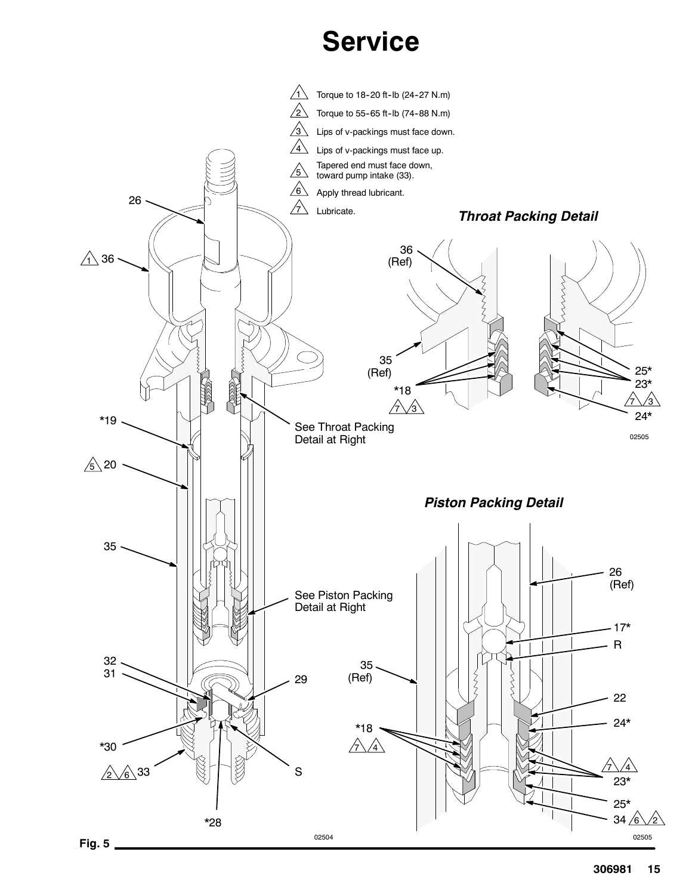# **Service**

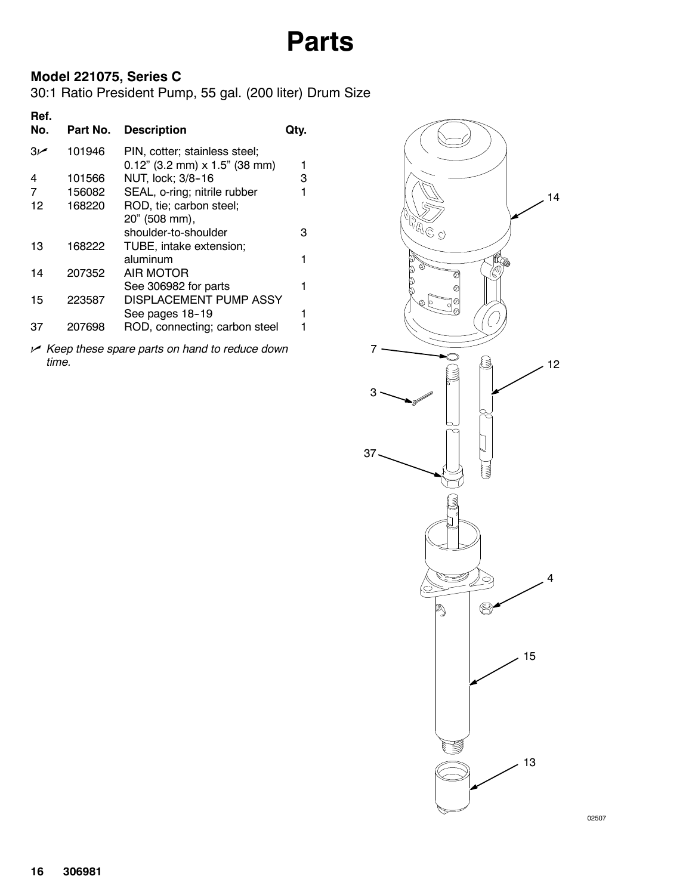## **Model 221075, Series C**

30:1 Ratio President Pump, 55 gal. (200 liter) Drum Size

| Ref.<br>No. | Part No. | <b>Description</b>               | QIV. |
|-------------|----------|----------------------------------|------|
| م 3         | 101946   | PIN, cotter; stainless steel;    |      |
|             |          | $0.12$ " (3.2 mm) x 1.5" (38 mm) | 1    |
| 4           | 101566   | NUT, lock; 3/8-16                | 3    |
| 7           | 156082   | SEAL, o-ring; nitrile rubber     | 1    |
| 12          | 168220   | ROD, tie; carbon steel;          |      |
|             |          | 20" (508 mm),                    |      |
|             |          | shoulder-to-shoulder             | з    |
| 13          | 168222   | TUBE, intake extension;          |      |
|             |          | aluminum                         | 1    |
| 14          | 207352   | AIR MOTOR                        |      |
|             |          | See 306982 for parts             | 1    |
| 15          | 223587   | DISPLACEMENT PUMP ASSY           |      |
|             |          | See pages 18-19                  | 1    |
| 37          | 207698   |                                  |      |
|             |          | ROD, connecting; carbon steel    |      |
|             |          |                                  |      |

n *Keep these spare parts on hand to reduce down time.*



02507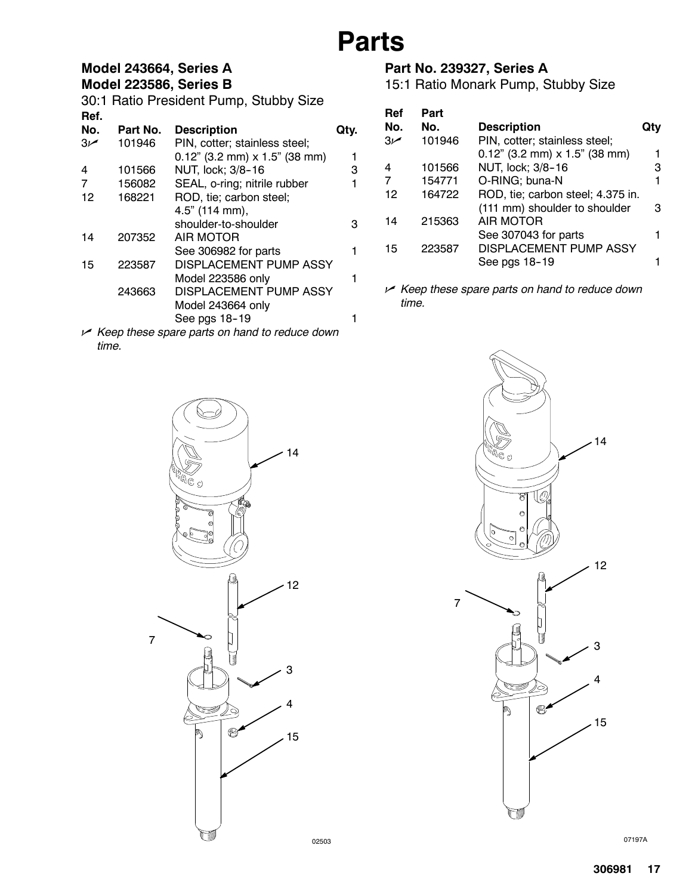## **Model 243664, Series A**

### **Model 223586, Series B**

30:1 Ratio President Pump, Stubby Size **Ref. No. Part No. Description Qty.** 3n 101946 PIN, cotter; stainless steel;

|         |        | $0.12$ " (3.2 mm) x 1.5" (38 mm) | 1 |
|---------|--------|----------------------------------|---|
| 4       | 101566 | NUT, lock; 3/8-16                | 3 |
| 7       | 156082 | SEAL, o-ring; nitrile rubber     | 1 |
| $12 \,$ | 168221 | ROD, tie; carbon steel;          |   |
|         |        | 4.5" (114 mm),                   |   |
|         |        | shoulder-to-shoulder             | 3 |
| 14      | 207352 | AIR MOTOR                        |   |
|         |        | See 306982 for parts             | 1 |
| 15      | 223587 | <b>DISPLACEMENT PUMP ASSY</b>    |   |
|         |        | Model 223586 only                | 1 |
|         | 243663 | DISPLACEMENT PUMP ASSY           |   |
|         |        | Model 243664 only                |   |
|         |        | See pgs 18-19                    |   |
|         |        |                                  |   |

n *Keep these spare parts on hand to reduce down time.*

## **Part No. 239327, Series A**

15:1 Ratio Monark Pump, Stubby Size

| Ref | Part   |                                   |     |
|-----|--------|-----------------------------------|-----|
| No. | No.    | <b>Description</b>                | Qtv |
| ص3  | 101946 | PIN, cotter; stainless steel;     |     |
|     |        | $0.12$ " (3.2 mm) x 1.5" (38 mm)  |     |
| 4   | 101566 | NUT, lock; 3/8-16                 | з   |
| 7   | 154771 | O-RING; buna-N                    |     |
| 12  | 164722 | ROD, tie; carbon steel; 4.375 in. |     |
|     |        | (111 mm) shoulder to shoulder     | з   |
| 14  | 215363 | <b>AIR MOTOR</b>                  |     |
|     |        | See 307043 for parts              |     |
| 15  | 223587 | <b>DISPLACEMENT PUMP ASSY</b>     |     |
|     |        | See pgs 18-19                     |     |
|     |        |                                   |     |

n *Keep these spare parts on hand to reduce down time.*





07197A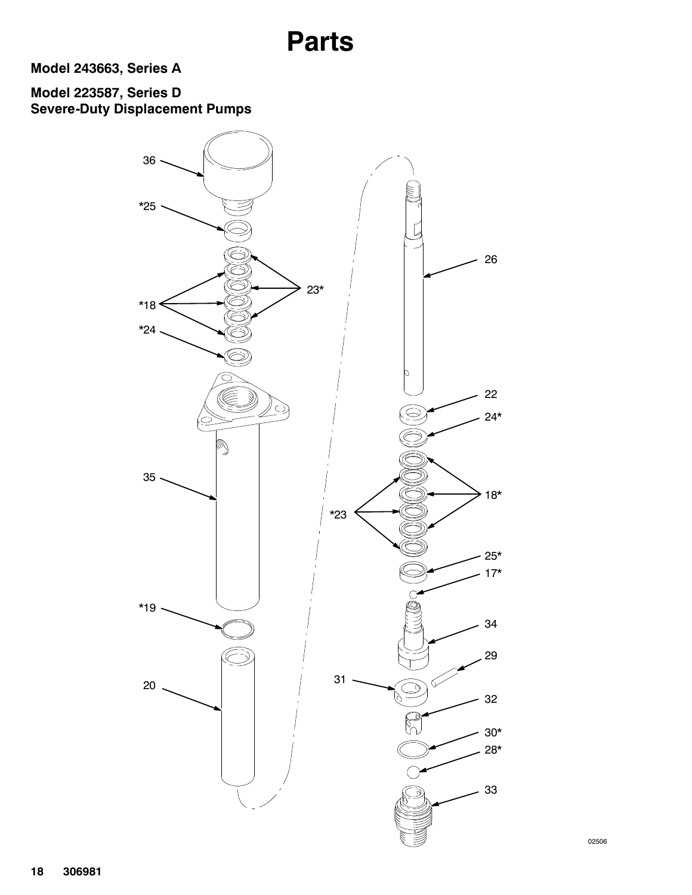**Model 243663, Series A**

## **Model 223587, Series D Severe-Duty Displacement Pumps**



02506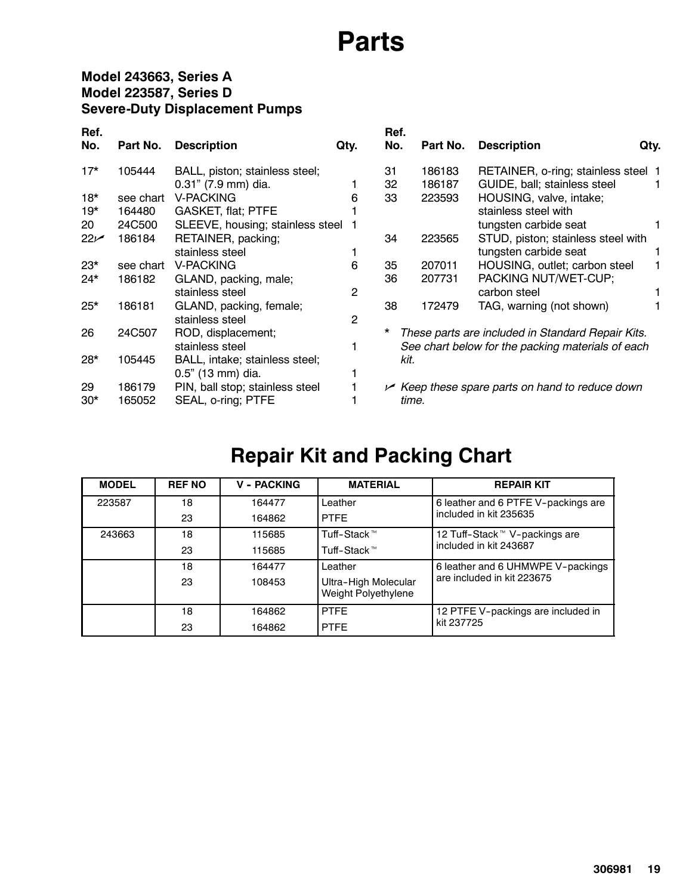## **Model 243663, Series A Model 223587, Series D Severe-Duty Displacement Pumps**

| Ref.<br>No. | Part No.  | <b>Description</b>               | Qty.           | Ref.<br>No. | Part No. | <b>Description</b>                                   | Qty. |
|-------------|-----------|----------------------------------|----------------|-------------|----------|------------------------------------------------------|------|
| $17*$       | 105444    | BALL, piston; stainless steel;   |                | 31          | 186183   | RETAINER, o-ring; stainless steel 1                  |      |
|             |           | 0.31" (7.9 mm) dia.              |                | 32          | 186187   | GUIDE, ball; stainless steel                         |      |
| $18*$       | see chart | <b>V-PACKING</b>                 | 6              | 33          | 223593   | HOUSING, valve, intake;                              |      |
| $19*$       | 164480    | <b>GASKET, flat; PTFE</b>        |                |             |          | stainless steel with                                 |      |
| 20          | 24C500    | SLEEVE, housing; stainless steel |                |             |          | tungsten carbide seat                                |      |
| $22 -$      | 186184    | RETAINER, packing;               |                | 34          | 223565   | STUD, piston; stainless steel with                   |      |
|             |           | stainless steel                  |                |             |          | tungsten carbide seat                                |      |
| $23*$       | see chart | V-PACKING                        | 6              | 35          | 207011   | HOUSING, outlet; carbon steel                        |      |
| $24*$       | 186182    | GLAND, packing, male;            |                | 36          | 207731   | PACKING NUT/WET-CUP;                                 |      |
|             |           | stainless steel                  | 2              |             |          | carbon steel                                         |      |
| $25*$       | 186181    | GLAND, packing, female;          |                | 38          | 172479   | TAG, warning (not shown)                             |      |
|             |           | stainless steel                  | $\overline{2}$ |             |          |                                                      |      |
| 26          | 24C507    | ROD, displacement;               |                | *           |          | These parts are included in Standard Repair Kits.    |      |
|             |           | stainless steel                  |                |             |          | See chart below for the packing materials of each    |      |
| $28*$       | 105445    | BALL, intake; stainless steel;   |                | kit.        |          |                                                      |      |
|             |           | 0.5" (13 mm) dia.                |                |             |          |                                                      |      |
| 29          | 186179    | PIN, ball stop; stainless steel  |                |             |          | $\sim$ Keep these spare parts on hand to reduce down |      |
| $30*$       | 165052    | SEAL, o-ring; PTFE               |                |             | time.    |                                                      |      |

# **Repair Kit and Packing Chart**

| <b>MODEL</b> | <b>REF NO</b> | <b>V - PACKING</b> | <b>MATERIAL</b>                             | <b>REPAIR KIT</b>                         |
|--------------|---------------|--------------------|---------------------------------------------|-------------------------------------------|
| 223587       | 18            | 164477             | Leather                                     | 6 leather and 6 PTFE V-packings are       |
|              | 23            | 164862             | <b>PTFF</b>                                 | included in kit 235635                    |
| 243663       | 18            | 115685             | Tuff-Stack™                                 | 12 Tuff-Stack <sup>™</sup> V-packings are |
|              | 23            | 115685             | Tuff-Stack™                                 | included in kit 243687                    |
|              | 18            | 164477             | I eather                                    | 6 leather and 6 UHMWPE V-packings         |
|              | 23            | 108453             | Ultra-High Molecular<br>Weight Polyethylene | are included in kit 223675                |
|              | 18            | 164862             | <b>PTFF</b>                                 | 12 PTFE V-packings are included in        |
|              | 23            | 164862             | <b>PTFE</b>                                 | kit 237725                                |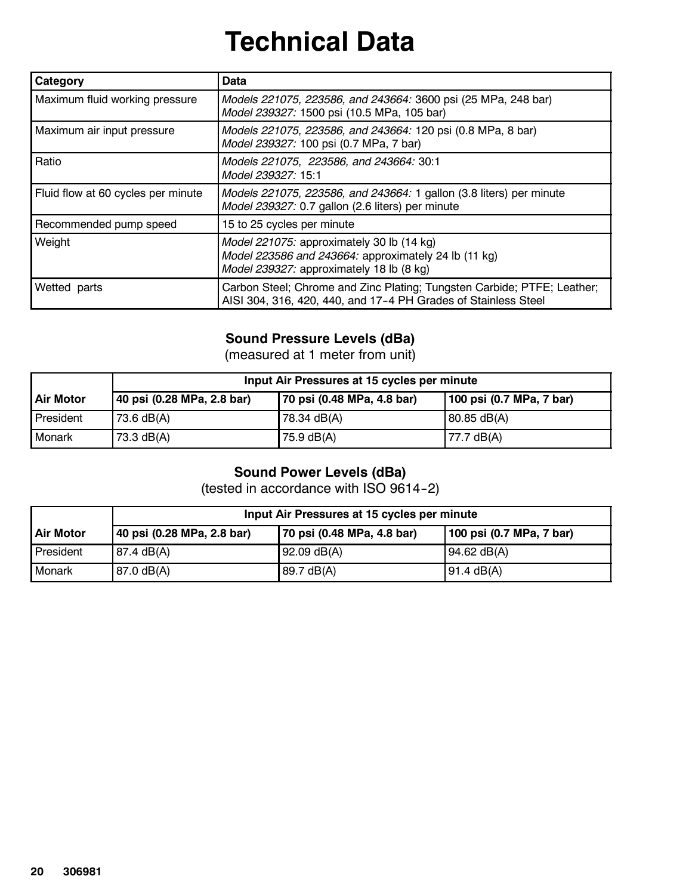# **Technical Data**

| Category                           | Data                                                                                                                                          |  |
|------------------------------------|-----------------------------------------------------------------------------------------------------------------------------------------------|--|
| Maximum fluid working pressure     | Models 221075, 223586, and 243664: 3600 psi (25 MPa, 248 bar)<br>Model 239327: 1500 psi (10.5 MPa, 105 bar)                                   |  |
| Maximum air input pressure         | Models 221075, 223586, and 243664: 120 psi (0.8 MPa, 8 bar)<br>Model 239327: 100 psi (0.7 MPa, 7 bar)                                         |  |
| Ratio                              | Models 221075, 223586, and 243664: 30:1<br>Model 239327: 15:1                                                                                 |  |
| Fluid flow at 60 cycles per minute | Models 221075, 223586, and 243664: 1 gallon (3.8 liters) per minute<br>Model 239327: 0.7 gallon (2.6 liters) per minute                       |  |
| Recommended pump speed             | 15 to 25 cycles per minute                                                                                                                    |  |
| Weight                             | Model 221075: approximately 30 lb (14 kg)<br>Model 223586 and 243664: approximately 24 lb (11 kg)<br>Model 239327: approximately 18 lb (8 kg) |  |
| Wetted parts                       | Carbon Steel; Chrome and Zinc Plating; Tungsten Carbide; PTFE; Leather;<br>AISI 304, 316, 420, 440, and 17-4 PH Grades of Stainless Steel     |  |

## **Sound Pressure Levels (dBa)**

(measured at 1 meter from unit)

|                  | Input Air Pressures at 15 cycles per minute |                            |                          |  |  |
|------------------|---------------------------------------------|----------------------------|--------------------------|--|--|
| <b>Air Motor</b> | 40 psi (0.28 MPa, 2.8 bar)                  | 70 psi (0.48 MPa, 4.8 bar) | 100 psi (0.7 MPa, 7 bar) |  |  |
| l President      | 73.6 $dB(A)$                                | 78.34 dB(A)                | 80.85 dB(A)              |  |  |
| Monark           | 73.3 $dB(A)$                                | 75.9 dB(A)                 | 77.7 dB(A)               |  |  |

## **Sound Power Levels (dBa)**

(tested in accordance with ISO 9614-2)

|                  | Input Air Pressures at 15 cycles per minute |                            |                          |  |
|------------------|---------------------------------------------|----------------------------|--------------------------|--|
| <b>Air Motor</b> | 40 psi (0.28 MPa, 2.8 bar)                  | 70 psi (0.48 MPa, 4.8 bar) | 100 psi (0.7 MPa, 7 bar) |  |
| <b>President</b> | $87.4 \text{ dB}(A)$                        | $92.09$ dB(A)              | $94.62 \text{ dB(A)}$    |  |
| l Monark         | 87.0 dB(A)                                  | 89.7 dB(A)                 | 91.4 dB(A)               |  |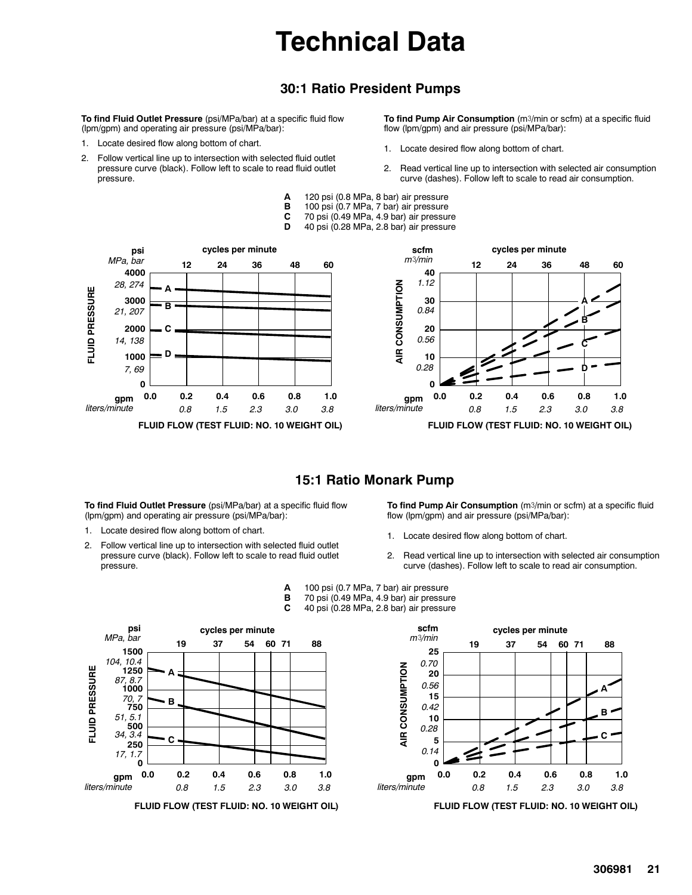# **Technical Data**

### **30:1 Ratio President Pumps**

**To find Fluid Outlet Pressure** (psi/MPa/bar) at a specific fluid flow (lpm/gpm) and operating air pressure (psi/MPa/bar):

- 1. Locate desired flow along bottom of chart.
- 2. Follow vertical line up to intersection with selected fluid outlet pressure curve (black). Follow left to scale to read fluid outlet pressure.

**To find Pump Air Consumption** (m3/min or scfm) at a specific fluid flow (lpm/gpm) and air pressure (psi/MPa/bar):

- 1. Locate desired flow along bottom of chart.
- 2. Read vertical line up to intersection with selected air consumption curve (dashes). Follow left to scale to read air consumption.
- **A** 120 psi (0.8 MPa, 8 bar) air pressure
- 100 psi (0.7 MPa, 7 bar) air pressure
- **C** 70 psi (0.49 MPa, 4.9 bar) air pressure
	- **D** 40 psi (0.28 MPa, 2.8 bar) air pressure





#### **15:1 Ratio Monark Pump**

**To find Fluid Outlet Pressure** (psi/MPa/bar) at a specific fluid flow (lpm/gpm) and operating air pressure (psi/MPa/bar):

- 1. Locate desired flow along bottom of chart.
- 2. Follow vertical line up to intersection with selected fluid outlet pressure curve (black). Follow left to scale to read fluid outlet pressure.

**To find Pump Air Consumption** (m3/min or scfm) at a specific fluid flow (lpm/gpm) and air pressure (psi/MPa/bar):

- 1. Locate desired flow along bottom of chart.
- 2. Read vertical line up to intersection with selected air consumption curve (dashes). Follow left to scale to read air consumption.
- **A** 100 psi (0.7 MPa, 7 bar) air pressure
- **B** 70 psi (0.49 MPa, 4.9 bar) air pressure<br>**C** 40 psi (0.28 MPa, 2.8 bar) air pressure
	- **C** 40 psi (0.28 MPa, 2.8 bar) air pressure



**FLUID FLOW (TEST FLUID: NO. 10 WEIGHT OIL)**



**FLUID FLOW (TEST FLUID: NO. 10 WEIGHT OIL)**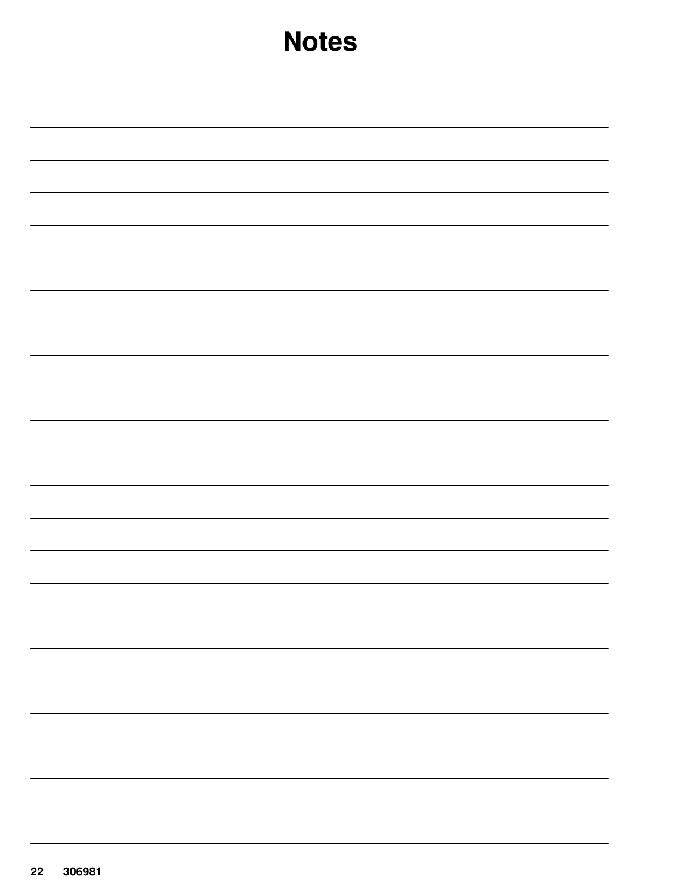| <b>Notes</b> |  |  |  |
|--------------|--|--|--|
|              |  |  |  |
|              |  |  |  |
|              |  |  |  |
|              |  |  |  |
|              |  |  |  |
|              |  |  |  |
|              |  |  |  |
|              |  |  |  |
|              |  |  |  |
|              |  |  |  |
|              |  |  |  |
|              |  |  |  |
|              |  |  |  |
|              |  |  |  |
|              |  |  |  |
|              |  |  |  |
|              |  |  |  |
|              |  |  |  |
|              |  |  |  |
|              |  |  |  |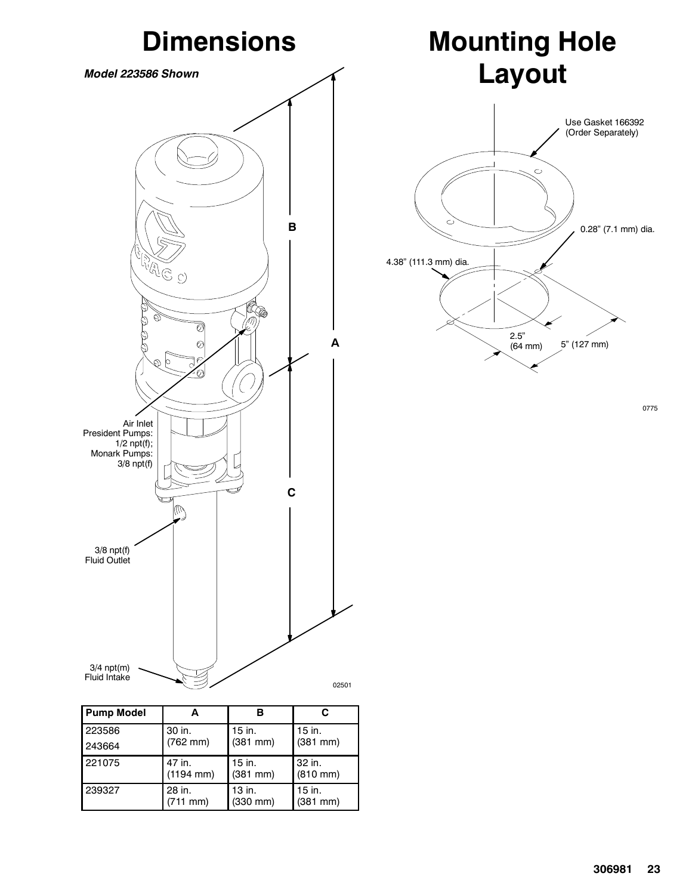

| <b>Pump Model</b> |                                 |                         |                                |
|-------------------|---------------------------------|-------------------------|--------------------------------|
| 223586            | 30 in.                          | 15 in.                  | 15 in.                         |
| 243664            | $(762 \, \text{mm})$            | $(381$ mm $)$           | $(381$ mm $)$                  |
| 221075            | 47 in.<br>$(1194 \, \text{mm})$ | 15 in.<br>$(381$ mm $)$ | 32 in.<br>$(810 \, \text{mm})$ |
| 239327            | 28 in.<br>(711 mm)              | 13 in.<br>$(330$ mm $)$ | 15 in.<br>$(381$ mm $)$        |